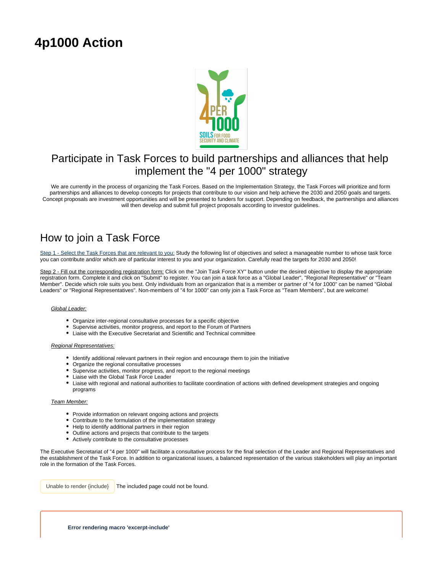# **4p1000 Action**



## Participate in Task Forces to build partnerships and alliances that help implement the "4 per 1000" strategy

We are currently in the process of organizing the Task Forces. Based on the Implementation Strategy, the Task Forces will prioritize and form partnerships and alliances to develop concepts for projects that contribute to our vision and help achieve the 2030 and 2050 goals and targets. Concept proposals are investment opportunities and will be presented to funders for support. Depending on feedback, the partnerships and alliances will then develop and submit full project proposals according to investor guidelines.

## How to join a Task Force

Step 1 - Select the Task Forces that are relevant to you: Study the following list of objectives and select a manageable number to whose task force you can contribute and/or which are of particular interest to you and your organization. Carefully read the targets for 2030 and 2050!

Step 2 - Fill out the corresponding registration form: Click on the "Join Task Force XY" button under the desired objective to display the appropriate registration form. Complete it and click on "Submit" to register. You can join a task force as a "Global Leader", "Regional Representative" or "Team Member". Decide which role suits you best. Only individuals from an organization that is a member or partner of "4 for 1000" can be named "Global Leaders" or "Regional Representatives". Non-members of "4 for 1000" can only join a Task Force as "Team Members", but are welcome!

### Global Leader:

- Organize inter-regional consultative processes for a specific objective
- Supervise activities, monitor progress, and report to the Forum of Partners
- Liaise with the Executive Secretariat and Scientific and Technical committee

#### Regional Representatives:

- Identify additional relevant partners in their region and encourage them to join the Initiative
- Organize the regional consultative processes
- Supervise activities, monitor progress, and report to the regional meetings
- Liaise with the Global Task Force Leader
- Liaise with regional and national authorities to facilitate coordination of actions with defined development strategies and ongoing programs

#### Team Member:

- Provide information on relevant ongoing actions and projects
- Contribute to the formulation of the implementation strategy
- Help to identify additional partners in their region
- Outline actions and projects that contribute to the targets
- Actively contribute to the consultative processes

The Executive Secretariat of "4 per 1000" will facilitate a consultative process for the final selection of the Leader and Regional Representatives and the establishment of the Task Force. In addition to organizational issues, a balanced representation of the various stakeholders will play an important role in the formation of the Task Forces.

Unable to render {include} The included page could not be found.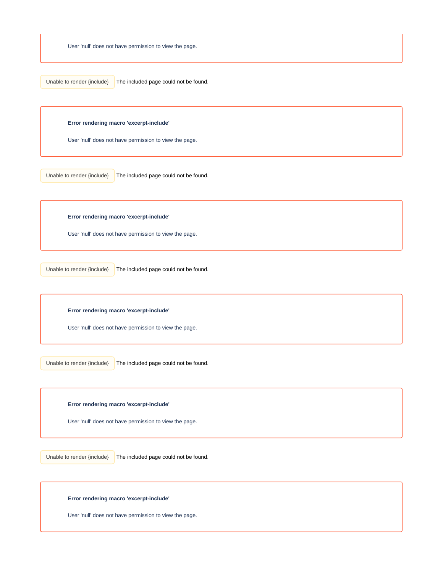The included page could not be found. Unable to render {include}

**Error rendering macro 'excerpt-include'**

User 'null' does not have permission to view the page.

Unable to render {include}

The included page could not be found.

**Error rendering macro 'excerpt-include'**

User 'null' does not have permission to view the page.

Unable to render {include}

The included page could not be found.

**Error rendering macro 'excerpt-include'**

User 'null' does not have permission to view the page.

Unable to render  $\{include\}$  The included page could not be found.

**Error rendering macro 'excerpt-include'**

User 'null' does not have permission to view the page.

The included page could not be found. Unable to render {include}

**Error rendering macro 'excerpt-include'**

User 'null' does not have permission to view the page.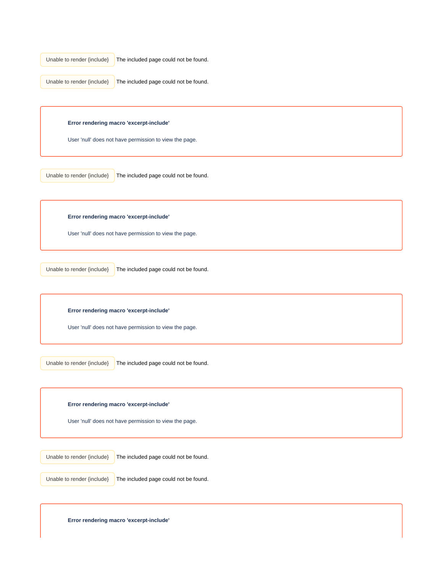The included page could not be found. Unable to render {include}

The included page could not be found. Unable to render {include}

## **Error rendering macro 'excerpt-include'**

User 'null' does not have permission to view the page.

Unable to render {include}

The included page could not be found.

**Error rendering macro 'excerpt-include'**

User 'null' does not have permission to view the page.

Unable to render {include}

The included page could not be found.

**Error rendering macro 'excerpt-include'**

User 'null' does not have permission to view the page.

The included page could not be found. Unable to render {include}

**Error rendering macro 'excerpt-include'**

User 'null' does not have permission to view the page.

Unable to render {include}

The included page could not be found.

The included page could not be found. Unable to render {include}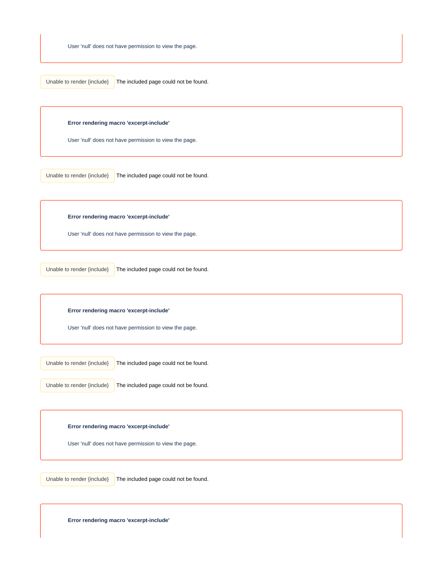The included page could not be found. Unable to render {include}

**Error rendering macro 'excerpt-include'**

User 'null' does not have permission to view the page.

Unable to render {include}

The included page could not be found.

**Error rendering macro 'excerpt-include'**

User 'null' does not have permission to view the page.

Unable to render {include}

The included page could not be found.

**Error rendering macro 'excerpt-include'**

User 'null' does not have permission to view the page.

Unable to render {include}

The included page could not be found.

Unable to render  $\{include\}$  The included page could not be found.

**Error rendering macro 'excerpt-include'**

User 'null' does not have permission to view the page.

The included page could not be found. Unable to render {include}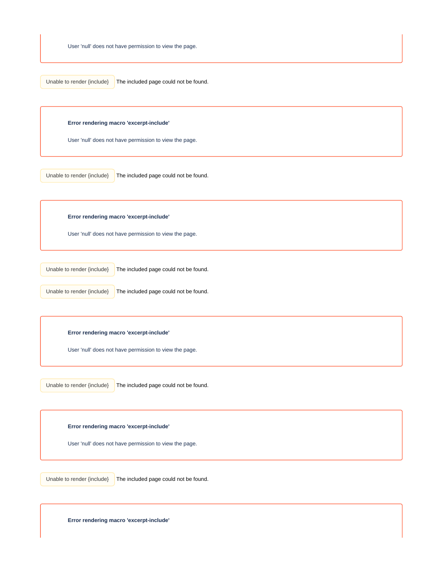The included page could not be found. Unable to render {include}

**Error rendering macro 'excerpt-include'**

User 'null' does not have permission to view the page.

Unable to render {include}

The included page could not be found.

**Error rendering macro 'excerpt-include'**

User 'null' does not have permission to view the page.

Unable to render {include}

The included page could not be found.

Unable to render {include}

The included page could not be found.

**Error rendering macro 'excerpt-include'**

User 'null' does not have permission to view the page.

The included page could not be found. Unable to render {include}

**Error rendering macro 'excerpt-include'**

User 'null' does not have permission to view the page.

The included page could not be found. Unable to render {include}